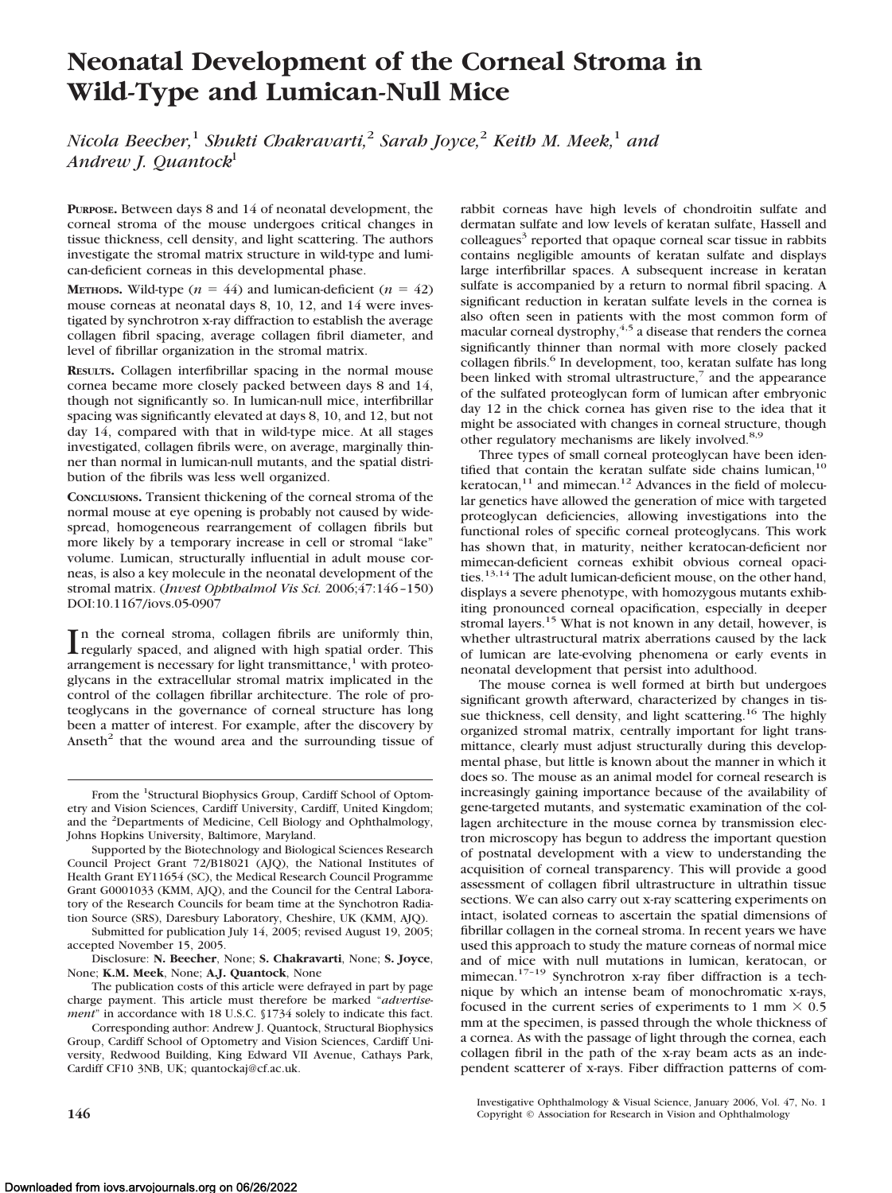# **Neonatal Development of the Corneal Stroma in Wild-Type and Lumican-Null Mice**

*Nicola Beecher,*<sup>1</sup> *Shukti Chakravarti,*<sup>2</sup> *Sarah Joyce,*<sup>2</sup> *Keith M. Meek,*<sup>1</sup> *and Andrew J. Quantock*<sup>l</sup>

**PURPOSE.** Between days 8 and 14 of neonatal development, the corneal stroma of the mouse undergoes critical changes in tissue thickness, cell density, and light scattering. The authors investigate the stromal matrix structure in wild-type and lumican-deficient corneas in this developmental phase.

**METHODS.** Wild-type  $(n = 44)$  and lumican-deficient  $(n = 42)$ mouse corneas at neonatal days 8, 10, 12, and 14 were investigated by synchrotron x-ray diffraction to establish the average collagen fibril spacing, average collagen fibril diameter, and level of fibrillar organization in the stromal matrix.

**RESULTS.** Collagen interfibrillar spacing in the normal mouse cornea became more closely packed between days 8 and 14, though not significantly so. In lumican-null mice, interfibrillar spacing was significantly elevated at days 8, 10, and 12, but not day 14, compared with that in wild-type mice. At all stages investigated, collagen fibrils were, on average, marginally thinner than normal in lumican-null mutants, and the spatial distribution of the fibrils was less well organized.

**CONCLUSIONS.** Transient thickening of the corneal stroma of the normal mouse at eye opening is probably not caused by widespread, homogeneous rearrangement of collagen fibrils but more likely by a temporary increase in cell or stromal "lake" volume. Lumican, structurally influential in adult mouse corneas, is also a key molecule in the neonatal development of the stromal matrix. (*Invest Ophthalmol Vis Sci.* 2006;47:146 –150) DOI:10.1167/iovs.05-0907

In the corneal stroma, collagen fibrils are uniformly thin, regularly spaced, and aligned with high spatial order. This regularly spaced, and aligned with high spatial order. This arrangement is necessary for light transmittance,<sup>1</sup> with proteoglycans in the extracellular stromal matrix implicated in the control of the collagen fibrillar architecture. The role of proteoglycans in the governance of corneal structure has long been a matter of interest. For example, after the discovery by Anseth $2$  that the wound area and the surrounding tissue of

Submitted for publication July 14, 2005; revised August 19, 2005; accepted November 15, 2005.

Disclosure: **N. Beecher**, None; **S. Chakravarti**, None; **S. Joyce**, None; **K.M. Meek**, None; **A.J. Quantock**, None

The publication costs of this article were defrayed in part by page charge payment. This article must therefore be marked "*advertisement*" in accordance with 18 U.S.C. §1734 solely to indicate this fact.

Corresponding author: Andrew J. Quantock, Structural Biophysics Group, Cardiff School of Optometry and Vision Sciences, Cardiff University, Redwood Building, King Edward VII Avenue, Cathays Park, Cardiff CF10 3NB, UK; quantockaj@cf.ac.uk.

rabbit corneas have high levels of chondroitin sulfate and dermatan sulfate and low levels of keratan sulfate, Hassell and colleagues<sup>3</sup> reported that opaque corneal scar tissue in rabbits contains negligible amounts of keratan sulfate and displays large interfibrillar spaces. A subsequent increase in keratan sulfate is accompanied by a return to normal fibril spacing. A significant reduction in keratan sulfate levels in the cornea is also often seen in patients with the most common form of macular corneal dystrophy, $4,5$  a disease that renders the cornea significantly thinner than normal with more closely packed collagen fibrils.<sup>6</sup> In development, too, keratan sulfate has long been linked with stromal ultrastructure,<sup>7</sup> and the appearance of the sulfated proteoglycan form of lumican after embryonic day 12 in the chick cornea has given rise to the idea that it might be associated with changes in corneal structure, though other regulatory mechanisms are likely involved.<sup>8,9</sup>

Three types of small corneal proteoglycan have been identified that contain the keratan sulfate side chains lumican, $10$  $k$ eratocan, $11$  and mimecan. $12$  Advances in the field of molecular genetics have allowed the generation of mice with targeted proteoglycan deficiencies, allowing investigations into the functional roles of specific corneal proteoglycans. This work has shown that, in maturity, neither keratocan-deficient nor mimecan-deficient corneas exhibit obvious corneal opacities.<sup>13,14</sup> The adult lumican-deficient mouse, on the other hand, displays a severe phenotype, with homozygous mutants exhibiting pronounced corneal opacification, especially in deeper stromal layers.<sup>15</sup> What is not known in any detail, however, is whether ultrastructural matrix aberrations caused by the lack of lumican are late-evolving phenomena or early events in neonatal development that persist into adulthood.

The mouse cornea is well formed at birth but undergoes significant growth afterward, characterized by changes in tissue thickness, cell density, and light scattering.<sup>16</sup> The highly organized stromal matrix, centrally important for light transmittance, clearly must adjust structurally during this developmental phase, but little is known about the manner in which it does so. The mouse as an animal model for corneal research is increasingly gaining importance because of the availability of gene-targeted mutants, and systematic examination of the collagen architecture in the mouse cornea by transmission electron microscopy has begun to address the important question of postnatal development with a view to understanding the acquisition of corneal transparency. This will provide a good assessment of collagen fibril ultrastructure in ultrathin tissue sections. We can also carry out x-ray scattering experiments on intact, isolated corneas to ascertain the spatial dimensions of fibrillar collagen in the corneal stroma. In recent years we have used this approach to study the mature corneas of normal mice and of mice with null mutations in lumican, keratocan, or mimecan.<sup>17–19</sup> Synchrotron x-ray fiber diffraction is a technique by which an intense beam of monochromatic x-rays, focused in the current series of experiments to 1 mm  $\times$  0.5 mm at the specimen, is passed through the whole thickness of a cornea. As with the passage of light through the cornea, each collagen fibril in the path of the x-ray beam acts as an independent scatterer of x-rays. Fiber diffraction patterns of com-

Investigative Ophthalmology & Visual Science, January 2006, Vol. 47, No. 1 **146** Copyright © Association for Research in Vision and Ophthalmology

From the <sup>1</sup>Structural Biophysics Group, Cardiff School of Optometry and Vision Sciences, Cardiff University, Cardiff, United Kingdom; and the <sup>2</sup> Departments of Medicine, Cell Biology and Ophthalmology, Johns Hopkins University, Baltimore, Maryland.

Supported by the Biotechnology and Biological Sciences Research Council Project Grant 72/B18021 (AJQ), the National Institutes of Health Grant EY11654 (SC), the Medical Research Council Programme Grant G0001033 (KMM, AJQ), and the Council for the Central Laboratory of the Research Councils for beam time at the Synchotron Radiation Source (SRS), Daresbury Laboratory, Cheshire, UK (KMM, AJQ).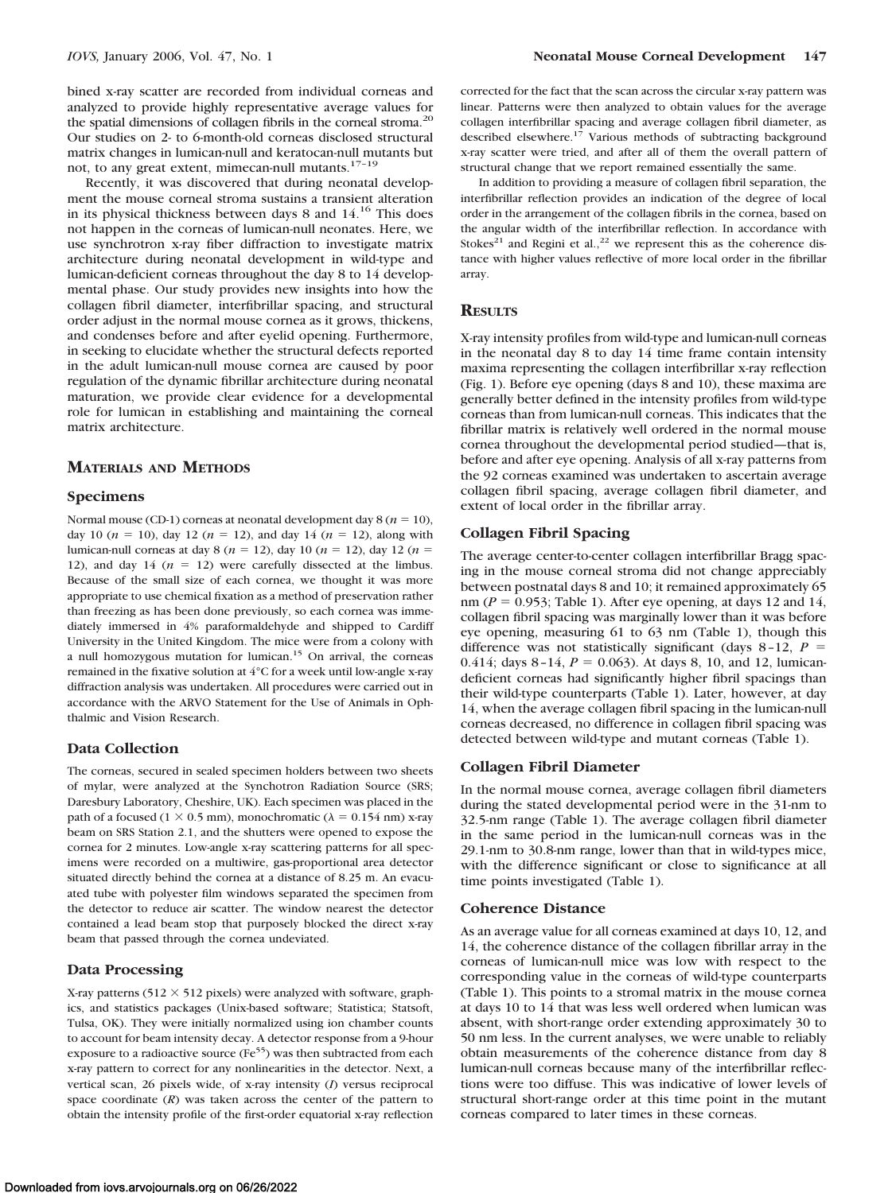bined x-ray scatter are recorded from individual corneas and analyzed to provide highly representative average values for the spatial dimensions of collagen fibrils in the corneal stroma.<sup>20</sup> Our studies on 2- to 6-month-old corneas disclosed structural matrix changes in lumican-null and keratocan-null mutants but not, to any great extent, mimecan-null mutants.<sup>17-19</sup>

Recently, it was discovered that during neonatal development the mouse corneal stroma sustains a transient alteration in its physical thickness between days 8 and 14.16 This does not happen in the corneas of lumican-null neonates. Here, we use synchrotron x-ray fiber diffraction to investigate matrix architecture during neonatal development in wild-type and lumican-deficient corneas throughout the day 8 to 14 developmental phase. Our study provides new insights into how the collagen fibril diameter, interfibrillar spacing, and structural order adjust in the normal mouse cornea as it grows, thickens, and condenses before and after eyelid opening. Furthermore, in seeking to elucidate whether the structural defects reported in the adult lumican-null mouse cornea are caused by poor regulation of the dynamic fibrillar architecture during neonatal maturation, we provide clear evidence for a developmental role for lumican in establishing and maintaining the corneal matrix architecture.

## **MATERIALS AND METHODS**

#### **Specimens**

Normal mouse (CD-1) corneas at neonatal development day  $8 (n = 10)$ , day 10 ( $n = 10$ ), day 12 ( $n = 12$ ), and day 14 ( $n = 12$ ), along with lumican-null corneas at day 8 ( $n = 12$ ), day 10 ( $n = 12$ ), day 12 ( $n =$ 12), and day 14  $(n = 12)$  were carefully dissected at the limbus. Because of the small size of each cornea, we thought it was more appropriate to use chemical fixation as a method of preservation rather than freezing as has been done previously, so each cornea was immediately immersed in 4% paraformaldehyde and shipped to Cardiff University in the United Kingdom. The mice were from a colony with a null homozygous mutation for lumican.15 On arrival, the corneas remained in the fixative solution at 4°C for a week until low-angle x-ray diffraction analysis was undertaken. All procedures were carried out in accordance with the ARVO Statement for the Use of Animals in Ophthalmic and Vision Research.

# **Data Collection**

The corneas, secured in sealed specimen holders between two sheets of mylar, were analyzed at the Synchotron Radiation Source (SRS; Daresbury Laboratory, Cheshire, UK). Each specimen was placed in the path of a focused ( $1 \times 0.5$  mm), monochromatic ( $\lambda = 0.154$  nm) x-ray beam on SRS Station 2.1, and the shutters were opened to expose the cornea for 2 minutes. Low-angle x-ray scattering patterns for all specimens were recorded on a multiwire, gas-proportional area detector situated directly behind the cornea at a distance of 8.25 m. An evacuated tube with polyester film windows separated the specimen from the detector to reduce air scatter. The window nearest the detector contained a lead beam stop that purposely blocked the direct x-ray beam that passed through the cornea undeviated.

### **Data Processing**

X-ray patterns  $(512 \times 512)$  pixels) were analyzed with software, graphics, and statistics packages (Unix-based software; Statistica; Statsoft, Tulsa, OK). They were initially normalized using ion chamber counts to account for beam intensity decay. A detector response from a 9-hour exposure to a radioactive source ( $Fe<sup>55</sup>$ ) was then subtracted from each x-ray pattern to correct for any nonlinearities in the detector. Next, a vertical scan, 26 pixels wide, of x-ray intensity (*I*) versus reciprocal space coordinate (*R*) was taken across the center of the pattern to obtain the intensity profile of the first-order equatorial x-ray reflection

corrected for the fact that the scan across the circular x-ray pattern was linear. Patterns were then analyzed to obtain values for the average collagen interfibrillar spacing and average collagen fibril diameter, as described elsewhere. $1^7$  Various methods of subtracting background x-ray scatter were tried, and after all of them the overall pattern of structural change that we report remained essentially the same.

In addition to providing a measure of collagen fibril separation, the interfibrillar reflection provides an indication of the degree of local order in the arrangement of the collagen fibrils in the cornea, based on the angular width of the interfibrillar reflection. In accordance with Stokes<sup>21</sup> and Regini et al.,<sup>22</sup> we represent this as the coherence distance with higher values reflective of more local order in the fibrillar array.

### **RESULTS**

X-ray intensity profiles from wild-type and lumican-null corneas in the neonatal day 8 to day 14 time frame contain intensity maxima representing the collagen interfibrillar x-ray reflection (Fig. 1). Before eye opening (days 8 and 10), these maxima are generally better defined in the intensity profiles from wild-type corneas than from lumican-null corneas. This indicates that the fibrillar matrix is relatively well ordered in the normal mouse cornea throughout the developmental period studied—that is, before and after eye opening. Analysis of all x-ray patterns from the 92 corneas examined was undertaken to ascertain average collagen fibril spacing, average collagen fibril diameter, and extent of local order in the fibrillar array.

# **Collagen Fibril Spacing**

The average center-to-center collagen interfibrillar Bragg spacing in the mouse corneal stroma did not change appreciably between postnatal days 8 and 10; it remained approximately 65 nm ( $P = 0.953$ ; Table 1). After eye opening, at days 12 and 14, collagen fibril spacing was marginally lower than it was before eye opening, measuring 61 to 63 nm (Table 1), though this difference was not statistically significant (days  $8-12$ ,  $P =$ 0.414; days  $8-14$ ,  $P = 0.063$ ). At days 8, 10, and 12, lumicandeficient corneas had significantly higher fibril spacings than their wild-type counterparts (Table 1). Later, however, at day 14, when the average collagen fibril spacing in the lumican-null corneas decreased, no difference in collagen fibril spacing was detected between wild-type and mutant corneas (Table 1).

#### **Collagen Fibril Diameter**

In the normal mouse cornea, average collagen fibril diameters during the stated developmental period were in the 31-nm to 32.5-nm range (Table 1). The average collagen fibril diameter in the same period in the lumican-null corneas was in the 29.1-nm to 30.8-nm range, lower than that in wild-types mice, with the difference significant or close to significance at all time points investigated (Table 1).

#### **Coherence Distance**

As an average value for all corneas examined at days 10, 12, and 14, the coherence distance of the collagen fibrillar array in the corneas of lumican-null mice was low with respect to the corresponding value in the corneas of wild-type counterparts (Table 1). This points to a stromal matrix in the mouse cornea at days 10 to 14 that was less well ordered when lumican was absent, with short-range order extending approximately 30 to 50 nm less. In the current analyses, we were unable to reliably obtain measurements of the coherence distance from day 8 lumican-null corneas because many of the interfibrillar reflections were too diffuse. This was indicative of lower levels of structural short-range order at this time point in the mutant corneas compared to later times in these corneas.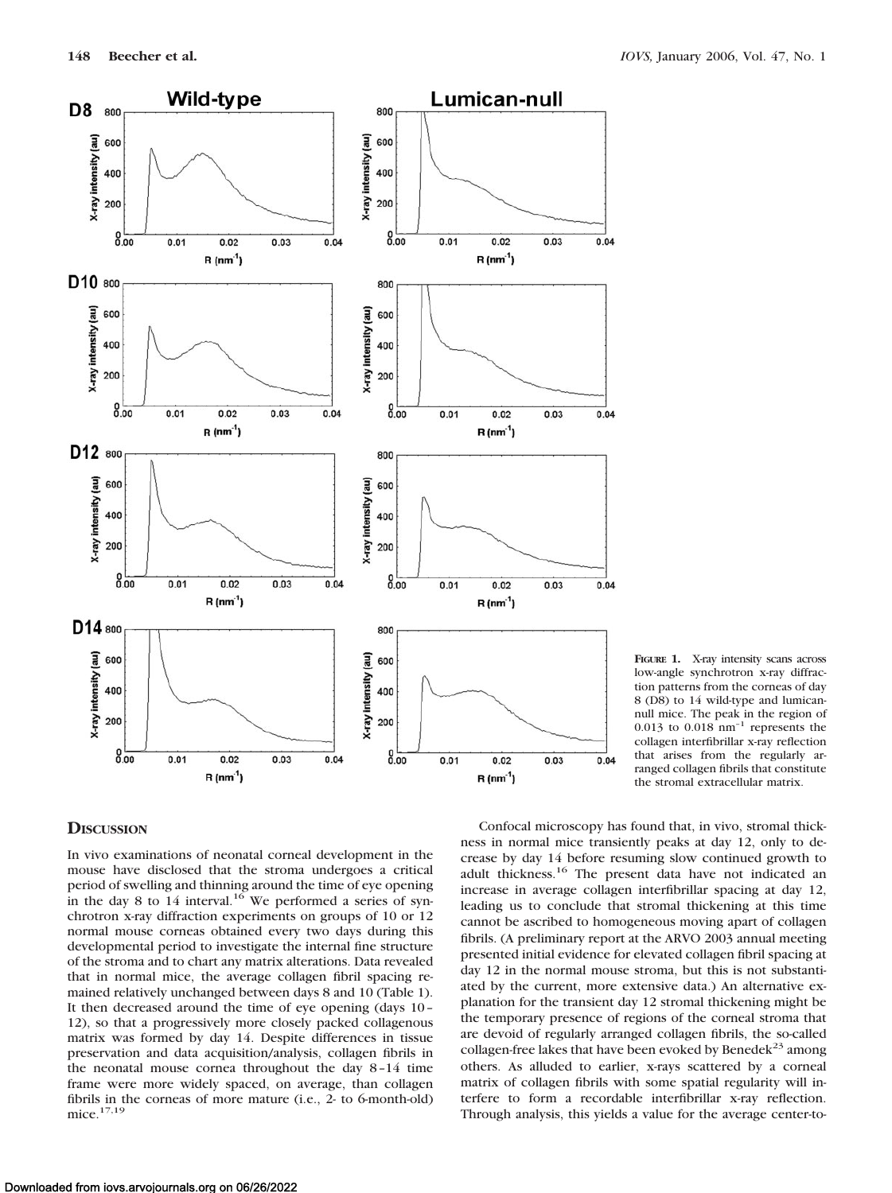

**FIGURE 1.** X-ray intensity scans across low-angle synchrotron x-ray diffraction patterns from the corneas of day 8 (D8) to 14 wild-type and lumicannull mice. The peak in the region of  $0.013$  to  $0.018$  nm<sup>-1</sup> represents the collagen interfibrillar x-ray reflection that arises from the regularly arranged collagen fibrils that constitute the stromal extracellular matrix.

# **DISCUSSION**

In vivo examinations of neonatal corneal development in the mouse have disclosed that the stroma undergoes a critical period of swelling and thinning around the time of eye opening in the day 8 to  $14$  interval.<sup>16</sup> We performed a series of synchrotron x-ray diffraction experiments on groups of 10 or 12 normal mouse corneas obtained every two days during this developmental period to investigate the internal fine structure of the stroma and to chart any matrix alterations. Data revealed that in normal mice, the average collagen fibril spacing remained relatively unchanged between days 8 and 10 (Table 1). It then decreased around the time of eye opening (days 10 – 12), so that a progressively more closely packed collagenous matrix was formed by day 14. Despite differences in tissue preservation and data acquisition/analysis, collagen fibrils in the neonatal mouse cornea throughout the day 8 –14 time frame were more widely spaced, on average, than collagen fibrils in the corneas of more mature (i.e., 2- to 6-month-old) mice.17,19

Confocal microscopy has found that, in vivo, stromal thickness in normal mice transiently peaks at day 12, only to decrease by day 14 before resuming slow continued growth to adult thickness.<sup>16</sup> The present data have not indicated an increase in average collagen interfibrillar spacing at day 12, leading us to conclude that stromal thickening at this time cannot be ascribed to homogeneous moving apart of collagen fibrils. (A preliminary report at the ARVO 2003 annual meeting presented initial evidence for elevated collagen fibril spacing at day 12 in the normal mouse stroma, but this is not substantiated by the current, more extensive data.) An alternative explanation for the transient day 12 stromal thickening might be the temporary presence of regions of the corneal stroma that are devoid of regularly arranged collagen fibrils, the so-called collagen-free lakes that have been evoked by Benedek<sup>23</sup> among others. As alluded to earlier, x-rays scattered by a corneal matrix of collagen fibrils with some spatial regularity will interfere to form a recordable interfibrillar x-ray reflection. Through analysis, this yields a value for the average center-to-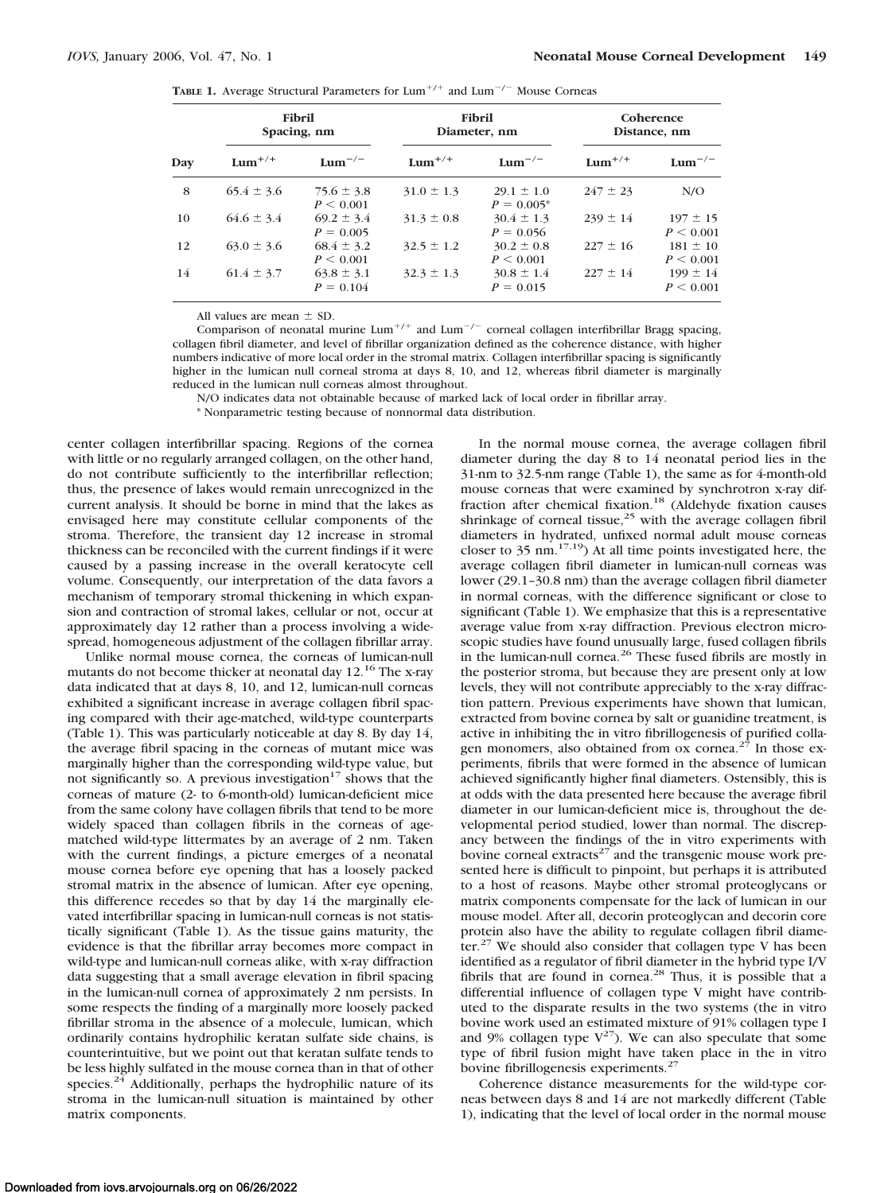**TABLE 1.** Average Structural Parameters for  $\text{Lum}^{+/+}$  and  $\text{Lum}^{-/-}$  Mouse Corneas

| Day | Fibril<br>Spacing, nm |                               | <b>Fibril</b><br>Diameter, nm |                                 | Coherence<br>Distance, nm |                           |
|-----|-----------------------|-------------------------------|-------------------------------|---------------------------------|---------------------------|---------------------------|
|     | $Lum^{+/+}$           | $Lum^{-/-}$                   | $Lum^{+/+}$                   | $Lum^{-/-}$                     | $Lum^{+/+}$               | $Lum^{-/-}$               |
| 8   | $65.4 \pm 3.6$        | $75.6 \pm 3.8$<br>P < 0.001   | $31.0 \pm 1.3$                | $29.1 \pm 1.0$<br>$P = 0.005^*$ | $247 \pm 23$              | N/O                       |
| 10  | $64.6 \pm 3.4$        | $69.2 \pm 3.4$<br>$P = 0.005$ | $31.3 \pm 0.8$                | $30.4 \pm 1.3$<br>$P = 0.056$   | $239 \pm 14$              | $197 \pm 15$<br>P < 0.001 |
| 12  | $63.0 \pm 3.6$        | $68.4 \pm 3.2$<br>P < 0.001   | $32.5 \pm 1.2$                | $30.2 \pm 0.8$<br>P < 0.001     | $227 \pm 16$              | $181 \pm 10$<br>P < 0.001 |
| 14  | $61.4 \pm 3.7$        | $63.8 \pm 3.1$<br>$P = 0.104$ | $32.3 \pm 1.3$                | $30.8 \pm 1.4$<br>$P = 0.015$   | $227 \pm 14$              | $199 \pm 14$<br>P < 0.001 |

All values are mean  $\pm$  SD.

Comparison of neonatal murine Lum<sup>+/+</sup> and Lum<sup>-/-</sup> corneal collagen interfibrillar Bragg spacing, collagen fibril diameter, and level of fibrillar organization defined as the coherence distance, with higher numbers indicative of more local order in the stromal matrix. Collagen interfibrillar spacing is significantly higher in the lumican null corneal stroma at days 8, 10, and 12, whereas fibril diameter is marginally reduced in the lumican null corneas almost throughout.

N/O indicates data not obtainable because of marked lack of local order in fibrillar array.

\* Nonparametric testing because of nonnormal data distribution.

center collagen interfibrillar spacing. Regions of the cornea with little or no regularly arranged collagen, on the other hand, do not contribute sufficiently to the interfibrillar reflection; thus, the presence of lakes would remain unrecognized in the current analysis. It should be borne in mind that the lakes as envisaged here may constitute cellular components of the stroma. Therefore, the transient day 12 increase in stromal thickness can be reconciled with the current findings if it were caused by a passing increase in the overall keratocyte cell volume. Consequently, our interpretation of the data favors a mechanism of temporary stromal thickening in which expansion and contraction of stromal lakes, cellular or not, occur at approximately day 12 rather than a process involving a widespread, homogeneous adjustment of the collagen fibrillar array.

Unlike normal mouse cornea, the corneas of lumican-null mutants do not become thicker at neonatal day 12.<sup>16</sup> The x-ray data indicated that at days 8, 10, and 12, lumican-null corneas exhibited a significant increase in average collagen fibril spacing compared with their age-matched, wild-type counterparts (Table 1). This was particularly noticeable at day 8. By day 14, the average fibril spacing in the corneas of mutant mice was marginally higher than the corresponding wild-type value, but not significantly so. A previous investigation $17$  shows that the corneas of mature (2- to 6-month-old) lumican-deficient mice from the same colony have collagen fibrils that tend to be more widely spaced than collagen fibrils in the corneas of agematched wild-type littermates by an average of 2 nm. Taken with the current findings, a picture emerges of a neonatal mouse cornea before eye opening that has a loosely packed stromal matrix in the absence of lumican. After eye opening, this difference recedes so that by day 14 the marginally elevated interfibrillar spacing in lumican-null corneas is not statistically significant (Table 1). As the tissue gains maturity, the evidence is that the fibrillar array becomes more compact in wild-type and lumican-null corneas alike, with x-ray diffraction data suggesting that a small average elevation in fibril spacing in the lumican-null cornea of approximately 2 nm persists. In some respects the finding of a marginally more loosely packed fibrillar stroma in the absence of a molecule, lumican, which ordinarily contains hydrophilic keratan sulfate side chains, is counterintuitive, but we point out that keratan sulfate tends to be less highly sulfated in the mouse cornea than in that of other species. $24$  Additionally, perhaps the hydrophilic nature of its stroma in the lumican-null situation is maintained by other matrix components.

In the normal mouse cornea, the average collagen fibril diameter during the day 8 to 14 neonatal period lies in the 31-nm to 32.5-nm range (Table 1), the same as for 4-month-old mouse corneas that were examined by synchrotron x-ray diffraction after chemical fixation.<sup>18</sup> (Aldehyde fixation causes shrinkage of corneal tissue, $25$  with the average collagen fibril diameters in hydrated, unfixed normal adult mouse corneas closer to  $35 \text{ nm}$ .<sup>17,19</sup>) At all time points investigated here, the average collagen fibril diameter in lumican-null corneas was lower (29.1–30.8 nm) than the average collagen fibril diameter in normal corneas, with the difference significant or close to significant (Table 1). We emphasize that this is a representative average value from x-ray diffraction. Previous electron microscopic studies have found unusually large, fused collagen fibrils in the lumican-null cornea.26 These fused fibrils are mostly in the posterior stroma, but because they are present only at low levels, they will not contribute appreciably to the x-ray diffraction pattern. Previous experiments have shown that lumican, extracted from bovine cornea by salt or guanidine treatment, is active in inhibiting the in vitro fibrillogenesis of purified collagen monomers, also obtained from  $\alpha$  cornea.<sup>27</sup> In those experiments, fibrils that were formed in the absence of lumican achieved significantly higher final diameters. Ostensibly, this is at odds with the data presented here because the average fibril diameter in our lumican-deficient mice is, throughout the developmental period studied, lower than normal. The discrepancy between the findings of the in vitro experiments with bovine corneal extracts<sup>27</sup> and the transgenic mouse work presented here is difficult to pinpoint, but perhaps it is attributed to a host of reasons. Maybe other stromal proteoglycans or matrix components compensate for the lack of lumican in our mouse model. After all, decorin proteoglycan and decorin core protein also have the ability to regulate collagen fibril diameter. $27$  We should also consider that collagen type V has been identified as a regulator of fibril diameter in the hybrid type I/V fibrils that are found in cornea.<sup>28</sup> Thus, it is possible that a differential influence of collagen type V might have contributed to the disparate results in the two systems (the in vitro bovine work used an estimated mixture of 91% collagen type I and 9% collagen type  $V^{27}$ ). We can also speculate that some type of fibril fusion might have taken place in the in vitro bovine fibrillogenesis experiments.<sup>27</sup>

Coherence distance measurements for the wild-type corneas between days 8 and 14 are not markedly different (Table 1), indicating that the level of local order in the normal mouse